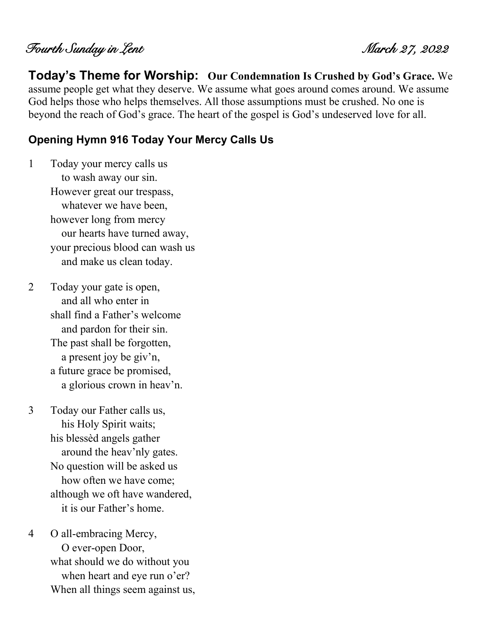Fourth Sunday in Lent March 27, 2022

**Today's Theme for Worship: Our Condemnation Is Crushed by God's Grace.** We assume people get what they deserve. We assume what goes around comes around. We assume God helps those who helps themselves. All those assumptions must be crushed. No one is beyond the reach of God's grace. The heart of the gospel is God's undeserved love for all.

#### **Opening Hymn 916 Today Your Mercy Calls Us**

1 Today your mercy calls us to wash away our sin. However great our trespass, whatever we have been, however long from mercy our hearts have turned away, your precious blood can wash us and make us clean today.

2 Today your gate is open, and all who enter in shall find a Father's welcome and pardon for their sin. The past shall be forgotten, a present joy be giv'n, a future grace be promised, a glorious crown in heav'n.

3 Today our Father calls us, his Holy Spirit waits; his blessèd angels gather around the heav'nly gates. No question will be asked us how often we have come; although we oft have wandered, it is our Father's home.

4 O all-embracing Mercy, O ever-open Door, what should we do without you when heart and eye run o'er? When all things seem against us,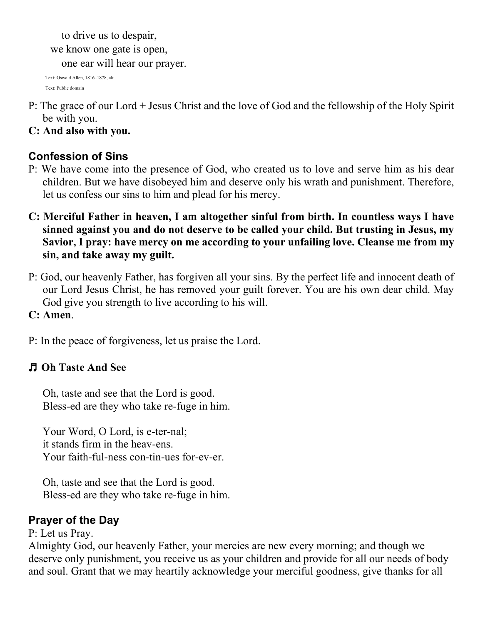to drive us to despair, we know one gate is open,

one ear will hear our prayer.

Text: Oswald Allen, 1816–1878, alt. Text: Public domain

- P: The grace of our Lord + Jesus Christ and the love of God and the fellowship of the Holy Spirit be with you.
- **C: And also with you.**

# **Confession of Sins**

- P: We have come into the presence of God, who created us to love and serve him as his dear children. But we have disobeyed him and deserve only his wrath and punishment. Therefore, let us confess our sins to him and plead for his mercy.
- **C: Merciful Father in heaven, I am altogether sinful from birth. In countless ways I have sinned against you and do not deserve to be called your child. But trusting in Jesus, my Savior, I pray: have mercy on me according to your unfailing love. Cleanse me from my sin, and take away my guilt.**
- P: God, our heavenly Father, has forgiven all your sins. By the perfect life and innocent death of our Lord Jesus Christ, he has removed your guilt forever. You are his own dear child. May God give you strength to live according to his will.
- **C: Amen**.

P: In the peace of forgiveness, let us praise the Lord.

# ♬ **Oh Taste And See**

Oh, taste and see that the Lord is good. Bless-ed are they who take re-fuge in him.

Your Word, O Lord, is e-ter-nal; it stands firm in the heav-ens. Your faith-ful-ness con-tin-ues for-ev-er.

Oh, taste and see that the Lord is good. Bless-ed are they who take re-fuge in him.

# **Prayer of the Day**

## P: Let us Pray.

Almighty God, our heavenly Father, your mercies are new every morning; and though we deserve only punishment, you receive us as your children and provide for all our needs of body and soul. Grant that we may heartily acknowledge your merciful goodness, give thanks for all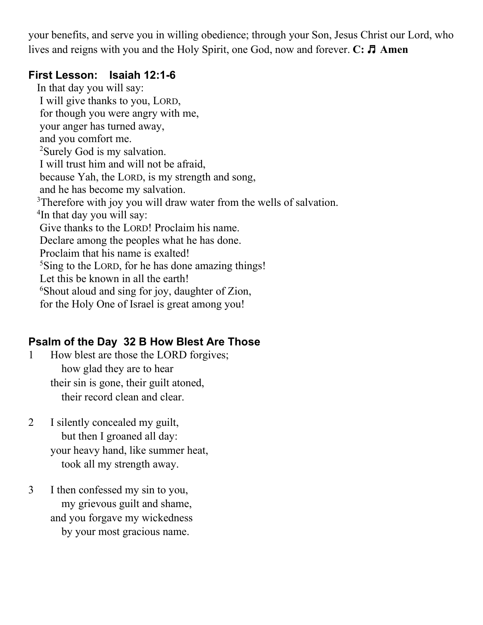your benefits, and serve you in willing obedience; through your Son, Jesus Christ our Lord, who lives and reigns with you and the Holy Spirit, one God, now and forever. **C:** ♬ **Amen**

## **First Lesson: Isaiah 12:1-6**

In that day you will say: I will give thanks to you, LORD, for though you were angry with me, your anger has turned away, and you comfort me. <sup>2</sup>Surely God is my salvation. I will trust him and will not be afraid, because Yah, the LORD, is my strength and song, and he has become my salvation. <sup>3</sup>Therefore with joy you will draw water from the wells of salvation. <sup>4</sup>In that day you will say: Give thanks to the LORD! Proclaim his name. Declare among the peoples what he has done. Proclaim that his name is exalted! <sup>5</sup>Sing to the LORD, for he has done amazing things! Let this be known in all the earth! <sup>6</sup>Shout aloud and sing for joy, daughter of Zion, for the Holy One of Israel is great among you!

# **Psalm of the Day 32 B How Blest Are Those**

- 1 How blest are those the LORD forgives; how glad they are to hear their sin is gone, their guilt atoned, their record clean and clear.
- 2 I silently concealed my guilt, but then I groaned all day: your heavy hand, like summer heat, took all my strength away.
- 3 I then confessed my sin to you, my grievous guilt and shame, and you forgave my wickedness by your most gracious name.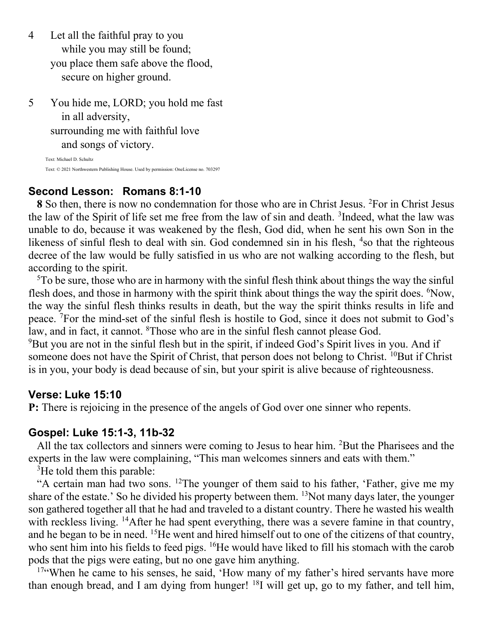- 4 Let all the faithful pray to you while you may still be found; you place them safe above the flood, secure on higher ground.
- 5 You hide me, LORD; you hold me fast in all adversity, surrounding me with faithful love and songs of victory.

Text: Michael D. Schultz Text: © 2021 Northwestern Publishing House. Used by permission: OneLicense no. 703297

#### **Second Lesson: Romans 8:1-10**

**8** So then, there is now no condemnation for those who are in Christ Jesus. <sup>2</sup>For in Christ Jesus the law of the Spirit of life set me free from the law of sin and death. <sup>3</sup>Indeed, what the law was unable to do, because it was weakened by the flesh, God did, when he sent his own Son in the likeness of sinful flesh to deal with sin. God condemned sin in his flesh, <sup>4</sup>so that the righteous decree of the law would be fully satisfied in us who are not walking according to the flesh, but according to the spirit.

<sup>5</sup>To be sure, those who are in harmony with the sinful flesh think about things the way the sinful flesh does, and those in harmony with the spirit think about things the way the spirit does. <sup>6</sup>Now, the way the sinful flesh thinks results in death, but the way the spirit thinks results in life and peace. <sup>7</sup>For the mind-set of the sinful flesh is hostile to God, since it does not submit to God's law, and in fact, it cannot. <sup>8</sup>Those who are in the sinful flesh cannot please God. <sup>9</sup>But you are not in the sinful flesh but in the spirit, if indeed God's Spirit lives in you. And if

someone does not have the Spirit of Christ, that person does not belong to Christ. <sup>10</sup>But if Christ is in you, your body is dead because of sin, but your spirit is alive because of righteousness.

#### **Verse: Luke 15:10**

**P:** There is rejoicing in the presence of the angels of God over one sinner who repents.

#### **Gospel: Luke 15:1-3, 11b-32**

All the tax collectors and sinners were coming to Jesus to hear him. <sup>2</sup>But the Pharisees and the experts in the law were complaining, "This man welcomes sinners and eats with them."

<sup>3</sup>He told them this parable:

"A certain man had two sons. <sup>12</sup>The younger of them said to his father, 'Father, give me my share of the estate.' So he divided his property between them. <sup>13</sup>Not many days later, the younger son gathered together all that he had and traveled to a distant country. There he wasted his wealth with reckless living. <sup>14</sup>After he had spent everything, there was a severe famine in that country, and he began to be in need. <sup>15</sup>He went and hired himself out to one of the citizens of that country, who sent him into his fields to feed pigs. <sup>16</sup>He would have liked to fill his stomach with the carob pods that the pigs were eating, but no one gave him anything.

<sup>17"</sup>When he came to his senses, he said, 'How many of my father's hired servants have more than enough bread, and I am dying from hunger!  $^{18}$ I will get up, go to my father, and tell him,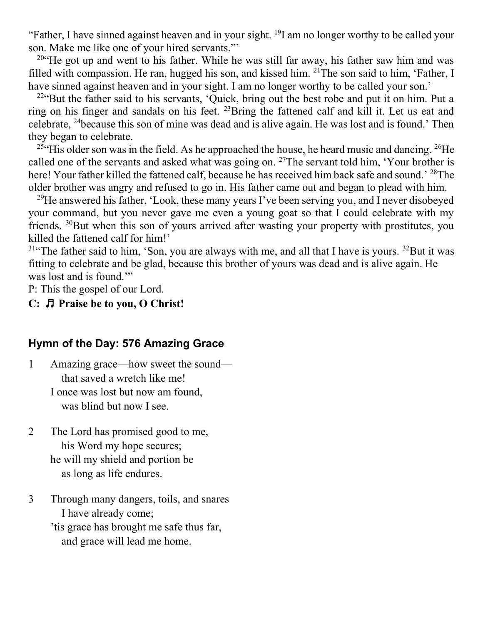"Father, I have sinned against heaven and in your sight. <sup>19</sup>I am no longer worthy to be called your son. Make me like one of your hired servants."'

<sup>20"</sup>He got up and went to his father. While he was still far away, his father saw him and was filled with compassion. He ran, hugged his son, and kissed him.  $^{21}$ The son said to him, 'Father, I have sinned against heaven and in your sight. I am no longer worthy to be called your son.'

 $22$ "But the father said to his servants, 'Quick, bring out the best robe and put it on him. Put a ring on his finger and sandals on his feet. <sup>23</sup>Bring the fattened calf and kill it. Let us eat and celebrate, <sup>24</sup>because this son of mine was dead and is alive again. He was lost and is found.' Then they began to celebrate.

<sup>25</sup> His older son was in the field. As he approached the house, he heard music and dancing. <sup>26</sup>He called one of the servants and asked what was going on. <sup>27</sup>The servant told him, 'Your brother is here! Your father killed the fattened calf, because he has received him back safe and sound.' <sup>28</sup>The older brother was angry and refused to go in. His father came out and began to plead with him.

<sup>29</sup>He answered his father, 'Look, these many years I've been serving you, and I never disobeyed your command, but you never gave me even a young goat so that I could celebrate with my friends. <sup>30</sup>But when this son of yours arrived after wasting your property with prostitutes, you killed the fattened calf for him!'

 $31$ "The father said to him, 'Son, you are always with me, and all that I have is yours.  $32$ But it was fitting to celebrate and be glad, because this brother of yours was dead and is alive again. He was lost and is found."

P: This the gospel of our Lord.

#### **C:** ♬ **Praise be to you, O Christ!**

#### **Hymn of the Day: 576 Amazing Grace**

- 1 Amazing grace—how sweet the sound that saved a wretch like me! I once was lost but now am found, was blind but now I see.
- 2 The Lord has promised good to me, his Word my hope secures; he will my shield and portion be as long as life endures.
- 3 Through many dangers, toils, and snares I have already come; 'tis grace has brought me safe thus far,
	- and grace will lead me home.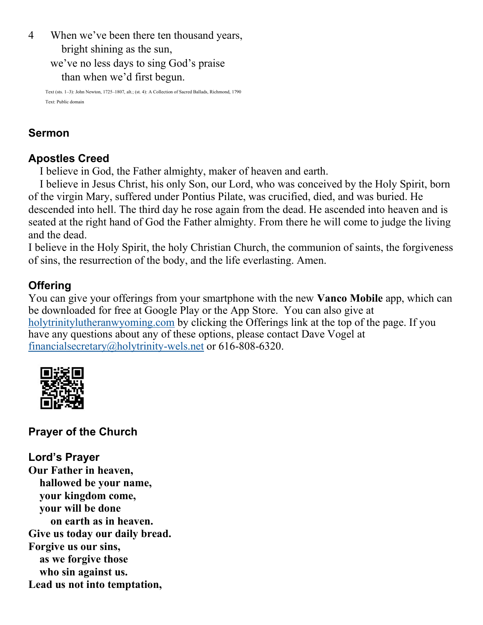4 When we've been there ten thousand years,

bright shining as the sun,

we've no less days to sing God's praise

than when we'd first begun.

Text (sts. 1–3): John Newton, 1725–1807, alt.; (st. 4): A Collection of Sacred Ballads, Richmond, 1790 Text: Public domain

## **Sermon**

## **Apostles Creed**

I believe in God, the Father almighty, maker of heaven and earth.

I believe in Jesus Christ, his only Son, our Lord, who was conceived by the Holy Spirit, born of the virgin Mary, suffered under Pontius Pilate, was crucified, died, and was buried. He descended into hell. The third day he rose again from the dead. He ascended into heaven and is seated at the right hand of God the Father almighty. From there he will come to judge the living and the dead.

I believe in the Holy Spirit, the holy Christian Church, the communion of saints, the forgiveness of sins, the resurrection of the body, and the life everlasting. Amen.

# **Offering**

You can give your offerings from your smartphone with the new **Vanco Mobile** app, which can be downloaded for free at Google Play or the App Store. You can also give at [holytrinitylutheranwyoming.com](http://holytrinitylutheranwyoming.com/) by clicking the Offerings link at the top of the page. If you have any questions about any of these options, please contact Dave Vogel at [financialsecretary@holytrinity-wels.net](mailto:financialsecretary@holytrinity-wels.net) or 616-808-6320.



# **Prayer of the Church**

**Lord's Prayer Our Father in heaven, hallowed be your name, your kingdom come, your will be done on earth as in heaven. Give us today our daily bread. Forgive us our sins, as we forgive those who sin against us. Lead us not into temptation,**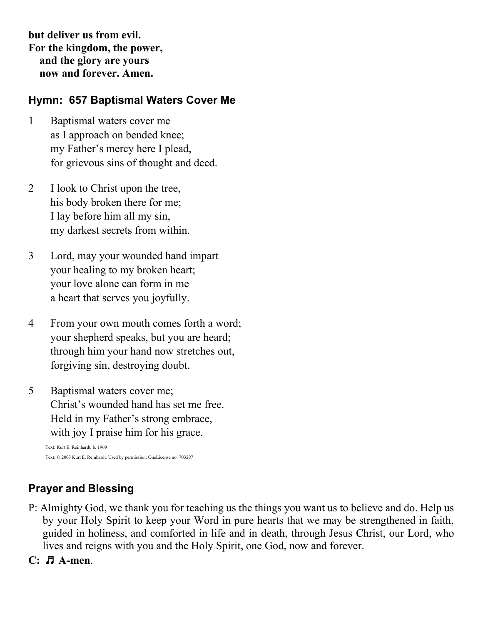**but deliver us from evil. For the kingdom, the power, and the glory are yours now and forever. Amen.**

### **Hymn: 657 Baptismal Waters Cover Me**

- 1 Baptismal waters cover me as I approach on bended knee; my Father's mercy here I plead, for grievous sins of thought and deed.
- 2 I look to Christ upon the tree, his body broken there for me; I lay before him all my sin, my darkest secrets from within.
- 3 Lord, may your wounded hand impart your healing to my broken heart; your love alone can form in me a heart that serves you joyfully.
- 4 From your own mouth comes forth a word; your shepherd speaks, but you are heard; through him your hand now stretches out, forgiving sin, destroying doubt.
- 5 Baptismal waters cover me; Christ's wounded hand has set me free. Held in my Father's strong embrace, with joy I praise him for his grace.

Text: Kurt E. Reinhardt, b. 1969 Text: © 2003 Kurt E. Reinhardt. Used by permission: OneLicense no. 703297

## **Prayer and Blessing**

- P: Almighty God, we thank you for teaching us the things you want us to believe and do. Help us by your Holy Spirit to keep your Word in pure hearts that we may be strengthened in faith, guided in holiness, and comforted in life and in death, through Jesus Christ, our Lord, who lives and reigns with you and the Holy Spirit, one God, now and forever.
- **C:** ♬ **A-men**.